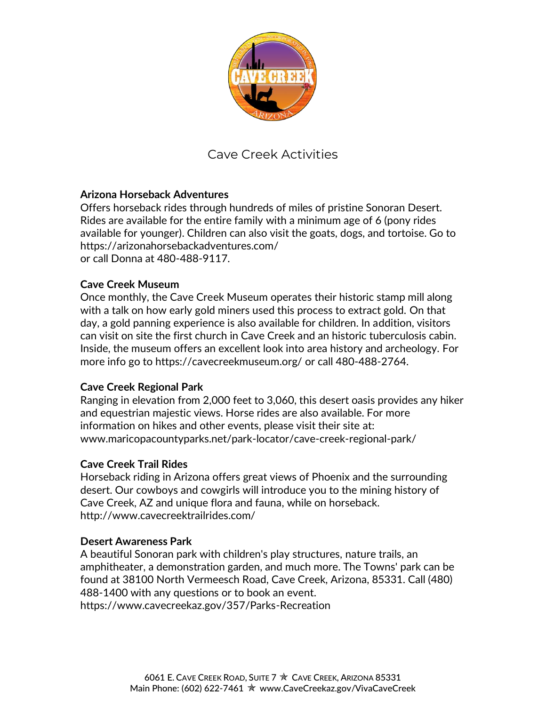

# Cave Creek Activities

## **Arizona Horseback Adventures**

Offers horseback rides through hundreds of miles of pristine Sonoran Desert. Rides are available for the entire family with a minimum age of 6 (pony rides available for younger). Children can also visit the goats, dogs, and tortoise. Go to <https://arizonahorsebackadventures.com/> or call Donna at 480-488-9117.

## **Cave Creek Museum**

Once monthly, the Cave Creek Museum operates their historic stamp mill along with a talk on how early gold miners used this process to extract gold. On that day, a gold panning experience is also available for children. In addition, visitors can visit on site the first church in Cave Creek and an historic tuberculosis cabin. Inside, the museum offers an excellent look into area history and archeology. For more info go to<https://cavecreekmuseum.org/> or call 480-488-2764.

## **Cave Creek Regional Park**

Ranging in elevation from 2,000 feet to 3,060, this desert oasis provides any hiker and equestrian majestic views. Horse rides are also available. For more information on hikes and other events, please visit their site at: [www.maricopacountyparks.net/park-locator/cave-creek-regional-park/](http://www.maricopacountyparks.net/park-locator/cave-creek-regional-park/)

## **Cave Creek Trail Rides**

Horseback riding in Arizona offers great views of Phoenix and the surrounding desert. Our cowboys and cowgirls will introduce you to the mining history of Cave Creek, AZ and unique flora and fauna, while on horseback. http://www.cavecreektrailrides.com/

## **Desert Awareness Park**

A beautiful Sonoran park with children's play structures, nature trails, an amphitheater, a demonstration garden, and much more. The Towns' park can be found at 38100 North Vermeesch Road, Cave Creek, Arizona, 85331. Call (480) 488-1400 with any questions or to book an event. https://www.cavecreekaz.gov/357/Parks-Recreation